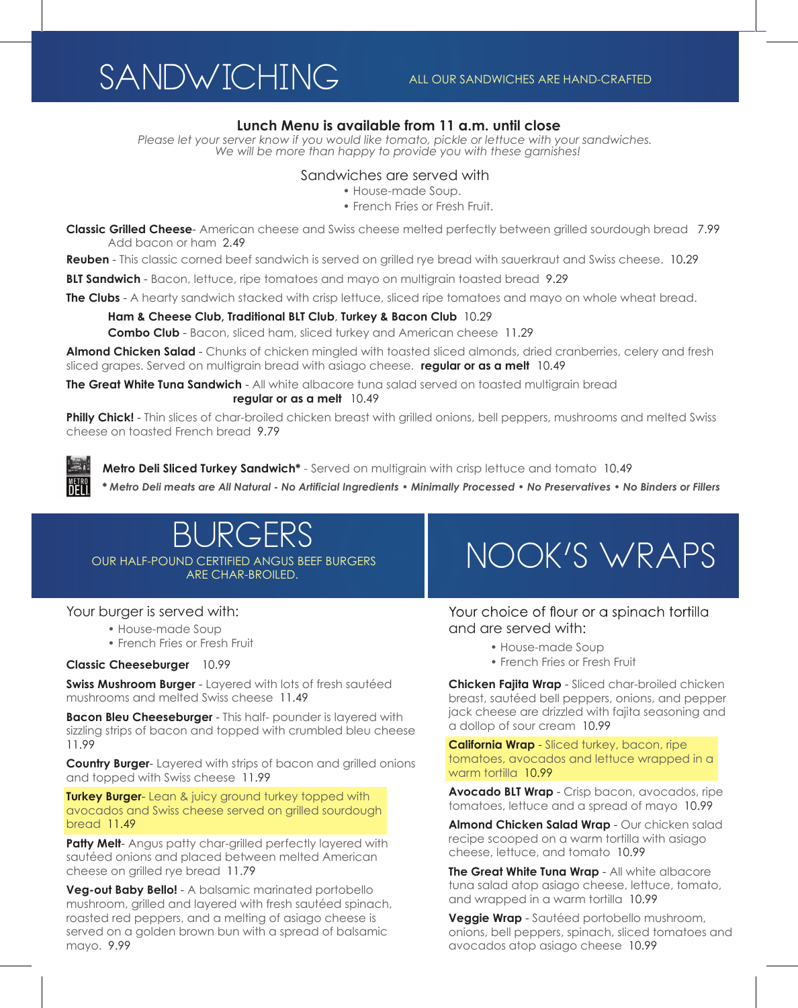### SANDWICHING ALL OUR SANDWICHES ARE HAND-CRAFTED

#### **Lunch Menu is available from 11 a.m. until close**

*Please let your server know if you would like tomato, pickle or lettuce with your sandwiches. We will be more than happy to provide you with these garnishes!* 

#### Sandwiches are served with

- House-made Soup.
- French Fries or Fresh Fruit.

**Classic Grilled Cheese**- American cheese and Swiss cheese melted perfectly between grilled sourdough bread 7.99 Add bacon or ham 2.49

**Reuben** - This classic corned beef sandwich is served on grilled rye bread with sauerkraut and Swiss cheese. 10.29

**BLT Sandwich** - Bacon, lettuce, ripe tomatoes and mayo on multigrain toasted bread 9.29

**The Clubs** - A hearty sandwich stacked with crisp lettuce, sliced ripe tomatoes and mayo on whole wheat bread.

#### **Ham & Cheese Club, Traditional BLT Club**, **Turkey & Bacon Club** 10.29

**Combo Club** - Bacon, sliced ham, sliced turkey and American cheese 11.29

**Almond Chicken Salad** - Chunks of chicken mingled with toasted sliced almonds, dried cranberries, celery and fresh sliced grapes. Served on multigrain bread with asiago cheese. **regular or as a melt** 10.49

**The Great White Tuna Sandwich** - All white albacore tuna salad served on toasted multigrain bread **regular or as a melt** 10.49

**Philly Chick!** - Thin slices of char-broiled chicken breast with grilled onions, bell peppers, mushrooms and melted Swiss cheese on toasted French bread 9.79

METR<br>Dei

**Metro Deli Sliced Turkey Sandwich\*** - Served on multigrain with crisp lettuce and tomato10.49

*\* Metro Deli meats are All Natural - No Artificial Ingredients • Minimally Processed • No Preservatives • No Binders or Fillers*

### BURGERS OUR HALF-POUND CERTIFIED ANGUS BEEF BURGERS ARE CHAR-BROILED.

#### Your burger is served with:

- House-made Soup
- French Fries or Fresh Fruit

#### **Classic Cheeseburger** 10.99

**Swiss Mushroom Burger** - Layered with lots of fresh sautéed mushrooms and melted Swiss cheese 11.49

**Bacon Bleu Cheeseburger** - This half- pounder is layered with sizzling strips of bacon and topped with crumbled bleu cheese 11.99

**Country Burger**- Layered with strips of bacon and grilled onions and topped with Swiss cheese 11.99

**Turkey Burger-** Lean & juicy ground turkey topped with avocados and Swiss cheese served on grilled sourdough bread 11.49

**Patty Melt-** Angus patty char-grilled perfectly layered with sautéed onions and placed between melted American cheese on grilled rye bread 11.79

**Veg-out Baby Bello!** - A balsamic marinated portobello mushroom, grilled and layered with fresh sautéed spinach, roasted red peppers, and a melting of asiago cheese is served on a golden brown bun with a spread of balsamic mayo. 9.99

## NOOK'S WRAPS

Your choice of flour or a spinach tortilla and are served with:

- House-made Soup
- French Fries or Fresh Fruit

**Chicken Fajita Wrap** - Sliced char-broiled chicken breast, sautéed bell peppers, onions, and pepper jack cheese are drizzled with fajita seasoning and a dollop of sour cream 10.99

**California Wrap** - Sliced turkey, bacon, ripe tomatoes, avocados and lettuce wrapped in a warm tortilla 10.99

**Avocado BLT Wrap** - Crisp bacon, avocados, ripe tomatoes, lettuce and a spread of mayo 10.99

**Almond Chicken Salad Wrap** - Our chicken salad recipe scooped on a warm tortilla with asiago cheese, lettuce, and tomato 10.99

**The Great White Tuna Wrap** - All white albacore tuna salad atop asiago cheese, lettuce, tomato, and wrapped in a warm tortilla 10.99

**Veggie Wrap** - Sautéed portobello mushroom, onions, bell peppers, spinach, sliced tomatoes and avocados atop asiago cheese 10.99